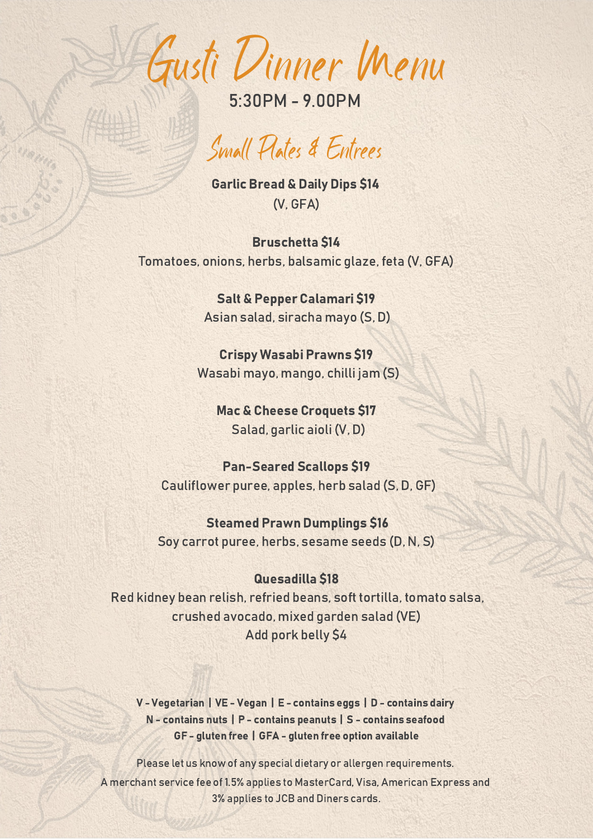Gusti Dinner Menu

# Small Plates & Entrees

**Garlic Bread & Daily Dips \$14** (V, GFA)

**Bruschetta \$14** Tomatoes, onions, herbs, balsamic glaze, feta (V, GFA)

> Salt & Pepper Calamari \$19 Asian salad, siracha mayo (S, D)

**Crispy Wasabi Prawns \$19** Wasabi mayo, mango, chilli jam (S)

**Mac & Cheese Croquets \$17** Salad, garlic aioli (V, D)

Pan-Seared Scallops \$19 Cauliflower puree, apples, herb salad (S, D, GF)

**Steamed Prawn Dumplings \$16** Soy carrot puree, herbs, sesame seeds (D, N, S)

#### Quesadilla \$18

Red kidney bean relish, refried beans, soft tortilla, tomato salsa, crushed avocado, mixed garden salad (VE) Add pork belly \$4

V - Vegetarian | VE - Vegan | E - contains eggs | D - contains dairy N - contains nuts | P - contains peanuts | S - contains seafood GF - gluten free | GFA - gluten free option available

Please let us know of any special dietary or allergen requirements. A merchant service fee of 1.5%applies to MasterCard, Visa, American Express and 3%applies to JCB and Diners cards.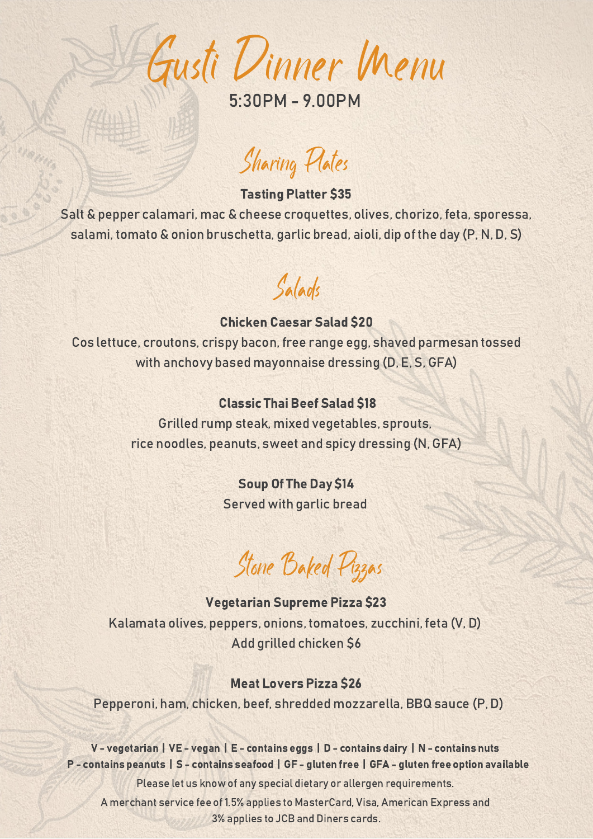Gusti Dinner Menu

# Sharing Plates

### **Tasting Platter \$35**

Salt & pepper calamari, mac & cheese croquettes, olives, chorizo, feta, sporessa, salami, tomato & onion bruschetta, garlic bread, aioli, dip of the day (P, N, D, S)

## Salads

#### **Chicken Caesar Salad \$20**

Cos lettuce, croutons, crispy bacon, free range egg, shaved parmesan tossed with anchovy based mayonnaise dressing (D, E, S, GFA)

### **Classic Thai Beef Salad \$18**

Grilled rump steak, mixed vegetables, sprouts, rice noodles, peanuts, sweet and spicy dressing (N, GFA)

### **Soup Of The Day \$14**

Served with garlic bread

# Stone Baked Pizzas

### Vegetarian Supreme Pizza \$23 Kalamata olives, peppers, onions, tomatoes, zucchini, feta (V, D) Add grilled chicken \$6

### **Meat Lovers Pizza \$26**

Pepperoni, ham, chicken, beef, shredded mozzarella, BBQ sauce (P, D)

V - vegetarian | VE - vegan | E - contains eggs | D - contains dairy | N - contains nuts P - contains peanuts | S - contains seafood | GF - gluten free | GFA - gluten free option available Please let us know of any special dietary or allergen requirements. A merchant service fee of 1.5%applies to MasterCard, Visa, American Express and 3%applies to JCB and Diners cards.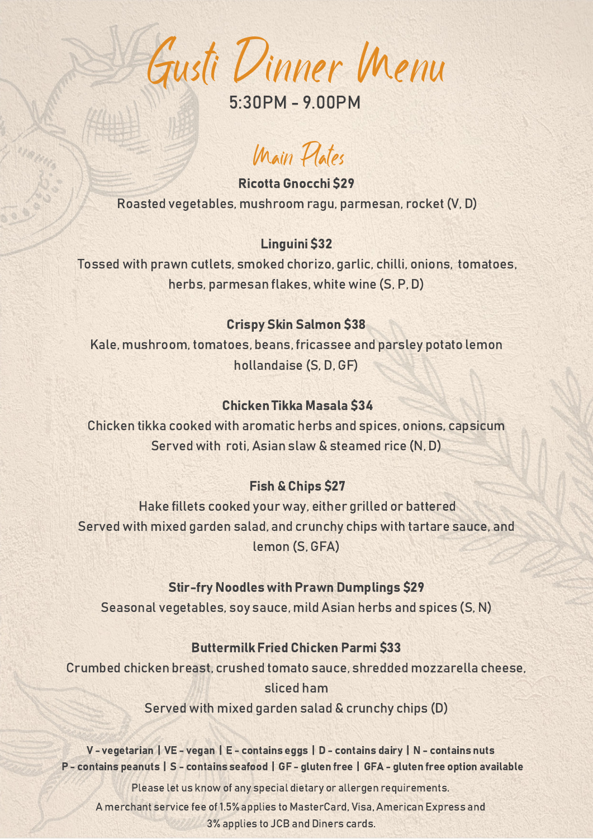Gusti Dinner Menu

## Main Plates

Ricotta Gnocchi \$29 Roasted vegetables, mushroom ragu, parmesan, rocket (V, D)

### Linguini \$32

Tossed with prawn cutlets, smoked chorizo, garlic, chilli, onions, tomatoes, herbs, parmesan flakes, white wine (S, P, D)

### **Crispy Skin Salmon \$38**

Kale, mushroom, tomatoes, beans, fricassee and parsley potato lemon hollandaise (S, D, GF)

### Chicken Tikka Masala 34

Chicken tikka cooked with aromatic herbs and spices, onions, capsicum Served with roti, Asian slaw & steamed rice (N, D)

### **Fish & Chips \$27**

Hake fillets cooked your way, either grilled or battered Served with mixed garden salad, and crunchy chips with tartare sauce, and lemon (S, GFA)

### **Stir-fry Noodles with Prawn Dumplings \$29**

Seasonal vegetables, soy sauce, mild Asian herbs and spices (S, N)

### **Buttermilk Fried Chicken Parmi \$33**

Crumbed chicken breast, crushed tomato sauce, shredded mozzarella cheese, sliced ham

Served with mixed garden salad & crunchy chips (D)

V - vegetarian | VE - vegan | E - contains eggs | D - contains dairy | N - contains nuts P - contains peanuts | S - contains seafood | GF - gluten free | GFA - gluten free option available

Please let us know of any special dietary or allergen requirements.

A merchant service fee of 1.5% applies to MasterCard, Visa, American Express and 3%applies to JCB and Diners cards.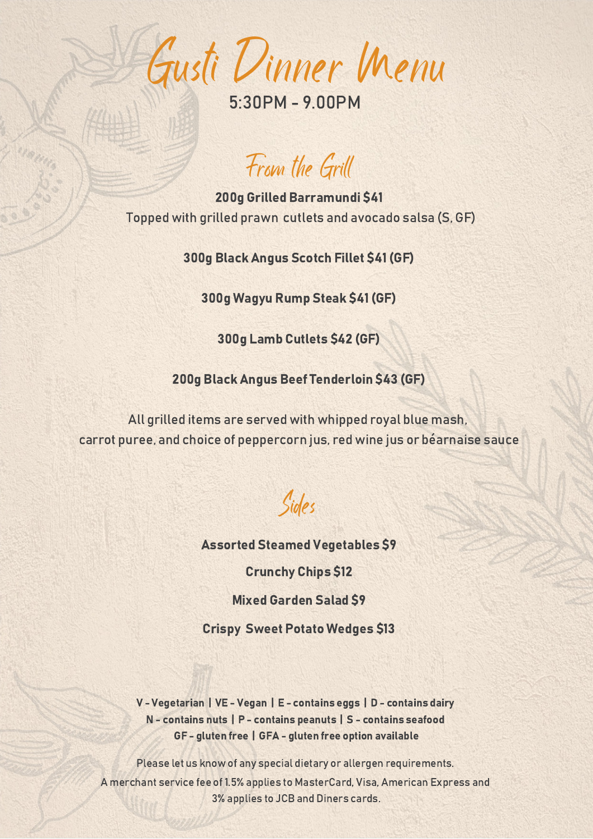Gusti Dinner Menu

5:30PM - 9.00PM

From the Grill

200g Grilled Barramundi \$41 Topped with grilled prawn cutlets and avocado salsa (S, GF)

300g Black Angus Scotch Fillet \$41 (GF)

300g Wagyu Rump Steak \$41 (GF)

300g Lamb Cutlets \$42 (GF)

200g Black Angus Beef Tenderloin \$43 (GF)

All grilled items are served with whipped royal blue mash, carrot puree, and choice of peppercorn jus, red wine jus or béarnaise sauce

Sides

**Assorted Steamed Vegetables \$9** 

**Crunchy Chips \$12** 

**Mixed Garden Salad S9** 

**Crispy Sweet Potato Wedges \$13** 

V - Vegetarian | VE - Vegan | E - contains eggs | D - contains dairy N - contains nuts | P - contains peanuts | S - contains seafood GF - gluten free | GFA - gluten free option available

Please let us know of any special dietary or allergen requirements. A merchant service fee of 1.5%applies to MasterCard, Visa, American Express and 3%applies to JCB and Diners cards.